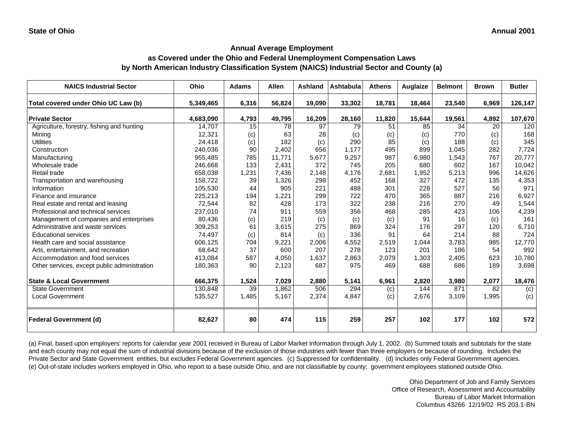#### **Annual Average Employment as Covered under the Ohio and Federal Unemployment Compensation Laws**

# **by North American Industry Classification System (NAICS) Industrial Sector and County (a)**

| <b>NAICS Industrial Sector</b>               | Ohio      | <b>Adams</b> | <b>Allen</b> | Ashland | Ashtabula | <b>Athens</b> | Auglaize | <b>Belmont</b> | <b>Brown</b> | <b>Butler</b> |
|----------------------------------------------|-----------|--------------|--------------|---------|-----------|---------------|----------|----------------|--------------|---------------|
| Total covered under Ohio UC Law (b)          | 5,349,465 | 6,316        | 56,824       | 19,090  | 33,302    | 18,781        | 18,464   | 23,540         | 6,969        | 126,147       |
| <b>Private Sector</b>                        | 4,683,090 | 4,793        | 49,795       | 16,209  | 28,160    | 11,820        | 15,644   | 19,561         | 4,892        | 107,670       |
| Agriculture, forestry, fishing and hunting   | 14,707    | 15           | 78           | 97      | 79        | 51            | 85       | 34             | 20           | 120           |
| Mining                                       | 12,321    | (c)          | 63           | 28      | (c)       | (c)           | (c)      | 770            | (c)          | 168           |
| <b>Utilities</b>                             | 24,418    | (c)          | 182          | (c)     | 290       | 85            | (c)      | 188            | (c)          | 345           |
| Construction                                 | 240,036   | 90           | 2,402        | 656     | 1,177     | 495           | 899      | 1,045          | 282          | 7,724         |
| Manufacturing                                | 955,485   | 785          | 11,771       | 5,677   | 9,257     | 987           | 6,980    | 1,543          | 767          | 20,777        |
| Wholesale trade                              | 246.668   | 133          | 2,431        | 372     | 745       | 205           | 680      | 602            | 167          | 10,042        |
| Retail trade                                 | 658,038   | 1,231        | 7,436        | 2,148   | 4,176     | 2,681         | 1,952    | 5,213          | 996          | 14,626        |
| Transportation and warehousing               | 158,722   | 39           | 1,326        | 298     | 452       | 168           | 327      | 472            | 135          | 4,353         |
| Information                                  | 105,530   | 44           | 905          | 221     | 488       | 301           | 228      | 527            | 56           | 971           |
| Finance and insurance                        | 225,213   | 194          | 1,221        | 299     | 722       | 470           | 365      | 887            | 216          | 6,927         |
| Real estate and rental and leasing           | 72,544    | 82           | 428          | 173     | 322       | 238           | 216      | 270            | 49           | 1,544         |
| Professional and technical services          | 237,010   | 74           | 911          | 559     | 356       | 468           | 285      | 423            | 106          | 4,239         |
| Management of companies and enterprises      | 80,436    | (c)          | 219          | (c)     | (c)       | (c)           | 91       | 16             | (c)          | 161           |
| Administrative and waste services            | 309,253   | 61           | 3,615        | 275     | 869       | 324           | 176      | 297            | 120          | 6,710         |
| <b>Educational services</b>                  | 74,497    | (c)          | 814          | (c)     | 336       | 91            | 64       | 214            | 88           | 724           |
| Health care and social assistance            | 606,125   | 704          | 9,221        | 2,006   | 4,552     | 2,519         | 1,044    | 3,783          | 985          | 12,770        |
| Arts, entertainment, and recreation          | 68,642    | 37           | 600          | 207     | 278       | 123           | 201      | 186            | 54           | 992           |
| Accommodation and food services              | 413,084   | 587          | 4,050        | 1,637   | 2,863     | 2,079         | 1,303    | 2,405          | 623          | 10,780        |
| Other services, except public administration | 180,363   | 90           | 2,123        | 687     | 975       | 469           | 688      | 686            | 189          | 3,698         |
| <b>State &amp; Local Government</b>          | 666,375   | 1,524        | 7,029        | 2,880   | 5,141     | 6,961         | 2,820    | 3,980          | 2,077        | 18,476        |
| <b>State Government</b>                      | 130,848   | 39           | 1,862        | 506     | 294       | (c)           | 144      | 871            | 82           | (c)           |
| <b>Local Government</b>                      | 535,527   | 1,485        | 5,167        | 2,374   | 4,847     | (c)           | 2,676    | 3,109          | 1,995        | (c)           |
| <b>Federal Government (d)</b>                | 82,627    | 80           | 474          | 115     | 259       | 257           | 102      | 177            | 102          | 572           |

(a) Final, based upon employers' reports for calendar year 2001 received in Bureau of Labor Market Information through July 1, 2002. (b) Summed totals and subtotals for the state and each county may not equal the sum of industrial divisions because of the exclusion of those industries with fewer than three employers or because of rounding. Includes the Private Sector and State Government entities, but excludes Federal Government agencies. (c) Suppressed for confidentiality. (d) Includes only Federal Government agencies. (e) Out-of-state includes workers employed in Ohio, who report to a base outside Ohio, and are not classifiable by county; government employees stationed outside Ohio.

> Ohio Department of Job and Family Services Office of Research, Assessment and Accountability Bureau of Labor Market Information Columbus 43266 12/19/02 RS 203.1-BN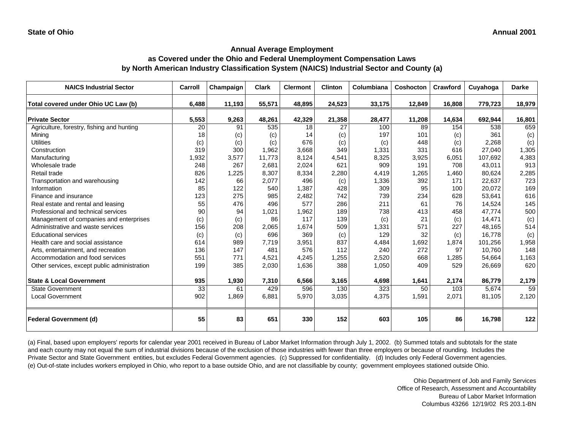| <b>NAICS Industrial Sector</b>               | Carroll         | Champaign | <b>Clark</b> | <b>Clermont</b> | <b>Clinton</b> | Columbiana | <b>Coshocton</b> | Crawford | Cuyahoga | <b>Darke</b> |
|----------------------------------------------|-----------------|-----------|--------------|-----------------|----------------|------------|------------------|----------|----------|--------------|
| Total covered under Ohio UC Law (b)          | 6,488           | 11,193    | 55,571       | 48,895          | 24,523         | 33,175     | 12,849           | 16,808   | 779,723  | 18,979       |
| <b>Private Sector</b>                        | 5,553           | 9,263     | 48,261       | 42,329          | 21,358         | 28,477     | 11,208           | 14,634   | 692,944  | 16,801       |
| Agriculture, forestry, fishing and hunting   | 20              | 91        | 535          | 18              | 27             | 100        | 89               | 154      | 538      | 659          |
| Mining                                       | 18              | (c)       | (c)          | 14              | (c)            | 197        | 101              | (c)      | 361      | (c)          |
| <b>Utilities</b>                             | (c)             | (c)       | (c)          | 676             | (c)            | (c)        | 448              | (c)      | 2,268    | (c)          |
| Construction                                 | 319             | 300       | 1,962        | 3,668           | 349            | 1,331      | 331              | 616      | 27,040   | 1,305        |
| Manufacturing                                | 1,932           | 3,577     | 11,773       | 8,124           | 4,541          | 8,325      | 3,925            | 6,051    | 107,692  | 4,383        |
| Wholesale trade                              | 248             | 267       | 2,681        | 2,024           | 621            | 909        | 191              | 708      | 43,011   | 913          |
| Retail trade                                 | 826             | 1,225     | 8,307        | 8,334           | 2,280          | 4,419      | 1,265            | 1,460    | 80,624   | 2,285        |
| Transportation and warehousing               | 142             | 66        | 2,077        | 496             | (c)            | 1,336      | 392              | 171      | 22,637   | 723          |
| Information                                  | 85              | 122       | 540          | 1,387           | 428            | 309        | 95               | 100      | 20,072   | 169          |
| Finance and insurance                        | 123             | 275       | 985          | 2,482           | 742            | 739        | 234              | 628      | 53,641   | 616          |
| Real estate and rental and leasing           | 55              | 476       | 496          | 577             | 286            | 211        | 61               | 76       | 14,524   | 145          |
| Professional and technical services          | 90              | 94        | 1,021        | 1,962           | 189            | 738        | 413              | 458      | 47,774   | 500          |
| Management of companies and enterprises      | (c)             | (c)       | 86           | 117             | 139            | (c)        | 21               | (c)      | 14,471   | (c)          |
| Administrative and waste services            | 156             | 208       | 2,065        | 1,674           | 509            | 1,331      | 571              | 227      | 48,165   | 514          |
| <b>Educational services</b>                  | (c)             | (c)       | 696          | 369             | (c)            | 129        | 32               | (c)      | 16,778   | (c)          |
| Health care and social assistance            | 614             | 989       | 7.719        | 3,951           | 837            | 4,484      | 1,692            | 1,874    | 101.256  | 1,958        |
| Arts, entertainment, and recreation          | 136             | 147       | 481          | 576             | 112            | 240        | 272              | 97       | 10.760   | 148          |
| Accommodation and food services              | 551             | 771       | 4,521        | 4,245           | 1,255          | 2,520      | 668              | ,285     | 54,664   | 1,163        |
| Other services, except public administration | 199             | 385       | 2,030        | 1,636           | 388            | 1,050      | 409              | 529      | 26,669   | 620          |
| <b>State &amp; Local Government</b>          | 935             | 1,930     | 7,310        | 6,566           | 3,165          | 4,698      | 1,641            | 2,174    | 86,779   | 2,179        |
| <b>State Government</b>                      | $\overline{33}$ | 61        | 429          | 596             | 130            | 323        | 50               | 103      | 5,674    | 59           |
| Local Government                             | 902             | 1,869     | 6,881        | 5,970           | 3,035          | 4,375      | 1,591            | 2,071    | 81,105   | 2,120        |
| <b>Federal Government (d)</b>                | 55              | 83        | 651          | 330             | 152            | 603        | 105              | 86       | 16,798   | 122          |

(a) Final, based upon employers' reports for calendar year 2001 received in Bureau of Labor Market Information through July 1, 2002. (b) Summed totals and subtotals for the state and each county may not equal the sum of industrial divisions because of the exclusion of those industries with fewer than three employers or because of rounding. Includes the Private Sector and State Government entities, but excludes Federal Government agencies. (c) Suppressed for confidentiality. (d) Includes only Federal Government agencies. (e) Out-of-state includes workers employed in Ohio, who report to a base outside Ohio, and are not classifiable by county; government employees stationed outside Ohio.

> Ohio Department of Job and Family Services Office of Research, Assessment and Accountability Bureau of Labor Market Information Columbus 43266 12/19/02 RS 203.1-BN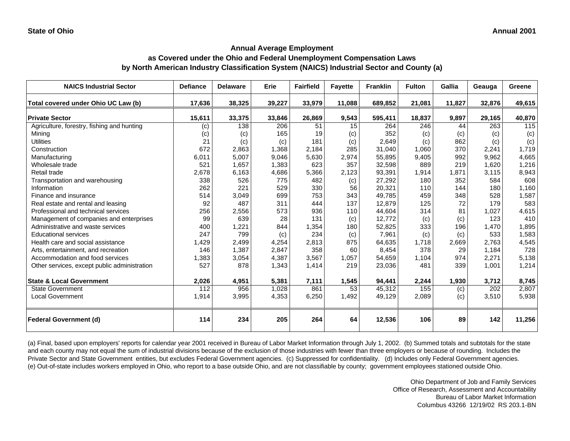| <b>NAICS Industrial Sector</b>               | <b>Defiance</b> | <b>Delaware</b> | Erie             | <b>Fairfield</b> | <b>Fayette</b> | <b>Franklin</b> | <b>Fulton</b> | Gallia | Geauga | Greene |
|----------------------------------------------|-----------------|-----------------|------------------|------------------|----------------|-----------------|---------------|--------|--------|--------|
| Total covered under Ohio UC Law (b)          | 17,636          | 38,325          | 39,227           | 33,979           | 11,088         | 689,852         | 21,081        | 11,827 | 32,876 | 49,615 |
| <b>Private Sector</b>                        | 15,611          | 33,375          | 33,846           | 26,869           | 9,543          | 595,411         | 18,837        | 9,897  | 29,165 | 40,870 |
| Agriculture, forestry, fishing and hunting   | (c)             | 138             | $\overline{206}$ | 51               | 15             | 264             | 246           | 44     | 263    | 115    |
| Mining                                       | (c)             | (c)             | 165              | 19               | (c)            | 352             | (c)           | (c)    | (c)    | (c)    |
| <b>Utilities</b>                             | 21              | (c)             | (c)              | 181              | (c)            | 2,649           | (c)           | 862    | (c)    | (c)    |
| Construction                                 | 672             | 2,863           | 1,368            | 2,184            | 285            | 31,040          | 1,060         | 370    | 2,241  | 1,719  |
| Manufacturing                                | 6,011           | 5,007           | 9,046            | 5,630            | 2,974          | 55,895          | 9,405         | 992    | 9,962  | 4,665  |
| Wholesale trade                              | 521             | 1,657           | 1,383            | 623              | 357            | 32,598          | 889           | 219    | 1,620  | 1,216  |
| Retail trade                                 | 2,678           | 6,163           | 4,686            | 5,366            | 2,123          | 93,391          | 1,914         | 1,871  | 3,115  | 8,943  |
| Transportation and warehousing               | 338             | 526             | 775              | 482              | (c)            | 27,292          | 180           | 352    | 584    | 608    |
| Information                                  | 262             | 221             | 529              | 330              | 56             | 20,321          | 110           | 144    | 180    | 1,160  |
| Finance and insurance                        | 514             | 3,049           | 699              | 753              | 343            | 49,785          | 459           | 348    | 528    | 1,587  |
| Real estate and rental and leasing           | 92              | 487             | 311              | 444              | 137            | 12,879          | 125           | 72     | 179    | 583    |
| Professional and technical services          | 256             | 2,556           | 573              | 936              | 110            | 44,604          | 314           | 81     | 1,027  | 4,615  |
| Management of companies and enterprises      | 99              | 639             | 28               | 131              | (c)            | 12,772          | (c)           | (c)    | 123    | 410    |
| Administrative and waste services            | 400             | 1,221           | 844              | 1,354            | 180            | 52,825          | 333           | 196    | 1,470  | 1,895  |
| <b>Educational services</b>                  | 247             | 799             | (c)              | 234              | (c)            | 7,961           | (c)           | (c)    | 533    | 1,583  |
| Health care and social assistance            | 1,429           | 2,499           | 4,254            | 2,813            | 875            | 64,635          | 1,718         | 2,669  | 2,763  | 4,545  |
| Arts, entertainment, and recreation          | 146             | 1,387           | 2,847            | 358              | 60             | 8,454           | 378           | 29     | 1,184  | 728    |
| Accommodation and food services              | 1,383           | 3,054           | 4,387            | 3,567            | 1,057          | 54,659          | 1,104         | 974    | 2,271  | 5,138  |
| Other services, except public administration | 527             | 878             | 1,343            | 1,414            | 219            | 23,036          | 481           | 339    | 1,001  | 1,214  |
| <b>State &amp; Local Government</b>          | 2,026           | 4,951           | 5,381            | 7,111            | 1,545          | 94,441          | 2,244         | 1,930  | 3,712  | 8,745  |
| <b>State Government</b>                      | 112             | 956             | 1,028            | 861              | 53             | 45,312          | 155           | (c)    | 202    | 2,807  |
| <b>Local Government</b>                      | 1,914           | 3,995           | 4,353            | 6,250            | 1,492          | 49,129          | 2,089         | (c)    | 3,510  | 5,938  |
| <b>Federal Government (d)</b>                | 114             | 234             | 205              | 264              | 64             | 12,536          | 106           | 89     | 142    | 11,256 |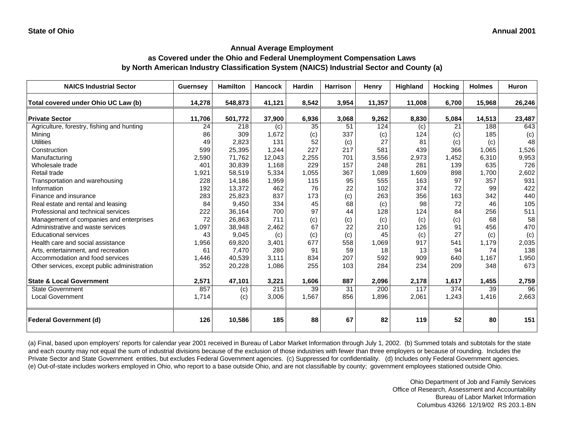## **as Covered under the Ohio and Federal Unemployment Compensation Laws by North American Industry Classification System (NAICS) Industrial Sector and County (a)**

| <b>NAICS Industrial Sector</b>               | <b>Guernsey</b> | <b>Hamilton</b> | <b>Hancock</b> | Hardin | <b>Harrison</b> | Henry  | <b>Highland</b> | <b>Hocking</b> | <b>Holmes</b> | Huron  |
|----------------------------------------------|-----------------|-----------------|----------------|--------|-----------------|--------|-----------------|----------------|---------------|--------|
| Total covered under Ohio UC Law (b)          | 14,278          | 548,873         | 41,121         | 8,542  | 3,954           | 11,357 | 11,008          | 6,700          | 15,968        | 26,246 |
| <b>Private Sector</b>                        | 11,706          | 501,772         | 37,900         | 6,936  | 3,068           | 9,262  | 8,830           | 5,084          | 14,513        | 23,487 |
| Agriculture, forestry, fishing and hunting   | 24              | 218             | (c)            | 35     | 51              | 124    | (c)             | 21             | 188           | 643    |
| Mining                                       | 86              | 309             | 1,672          | (c)    | 337             | (c)    | 124             | (c)            | 185           | (c)    |
| <b>Utilities</b>                             | 49              | 2,823           | 131            | 52     | (c)             | 27     | 81              | (c)            | (c)           | 48     |
| Construction                                 | 599             | 25,395          | 1,244          | 227    | 217             | 581    | 439             | 366            | 1,065         | 1,526  |
| Manufacturing                                | 2,590           | 71,762          | 12,043         | 2,255  | 701             | 3,556  | 2,973           | 1,452          | 6,310         | 9,953  |
| Wholesale trade                              | 401             | 30,839          | 1,168          | 229    | 157             | 248    | 281             | 139            | 635           | 726    |
| Retail trade                                 | 1,921           | 58,519          | 5,334          | 1,055  | 367             | 1,089  | 1,609           | 898            | 1,700         | 2,602  |
| Transportation and warehousing               | 228             | 14,186          | 1,959          | 115    | 95              | 555    | 163             | 97             | 357           | 931    |
| Information                                  | 192             | 13,372          | 462            | 76     | 22              | 102    | 374             | 72             | 99            | 422    |
| Finance and insurance                        | 283             | 25,823          | 837            | 173    | (c)             | 263    | 356             | 163            | 342           | 440    |
| Real estate and rental and leasing           | 84              | 9,450           | 334            | 45     | 68              | (c)    | 98              | 72             | 46            | 105    |
| Professional and technical services          | 222             | 36,164          | 700            | 97     | 44              | 128    | 124             | 84             | 256           | 511    |
| Management of companies and enterprises      | 72              | 26,863          | 711            | (c)    | (c)             | (c)    | (c)             | (c)            | 68            | 58     |
| Administrative and waste services            | 1,097           | 38,948          | 2,462          | 67     | 22              | 210    | 126             | 91             | 456           | 470    |
| <b>Educational services</b>                  | 43              | 9,045           | (c)            | (c)    | (c)             | 45     | (c)             | 27             | (c)           | (c)    |
| Health care and social assistance            | 1,956           | 69,820          | 3,401          | 677    | 558             | 1,069  | 917             | 541            | 1,179         | 2,035  |
| Arts, entertainment, and recreation          | 61              | 7,470           | 280            | 91     | 59              | 18     | 13              | 94             | 74            | 138    |
| Accommodation and food services              | 1,446           | 40,539          | 3,111          | 834    | 207             | 592    | 909             | 640            | 1,167         | 1,950  |
| Other services, except public administration | 352             | 20,228          | 1,086          | 255    | 103             | 284    | 234             | 209            | 348           | 673    |
| <b>State &amp; Local Government</b>          | 2,571           | 47,101          | 3,221          | 1,606  | 887             | 2,096  | 2,178           | 1,617          | 1,455         | 2,759  |
| State Government                             | 857             | (c)             | 215            | 39     | 31              | 200    | 117             | 374            | 39            | 96     |
| <b>Local Government</b>                      | 1,714           | (c)             | 3,006          | 1,567  | 856             | 1,896  | 2,061           | 1,243          | 1,416         | 2,663  |
| <b>Federal Government (d)</b>                | 126             | 10,586          | 185            | 88     | 67              | 82     | 119             | 52             | 80            | 151    |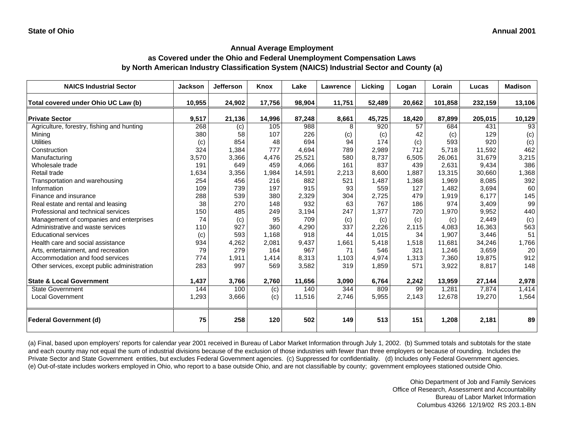### **as Covered under the Ohio and Federal Unemployment Compensation Laws by North American Industry Classification System (NAICS) Industrial Sector and County (a)**

| <b>NAICS Industrial Sector</b>               | <b>Jackson</b> | <b>Jefferson</b> | Knox   | Lake   | Lawrence | Licking | Logan  | Lorain  | Lucas   | <b>Madison</b> |
|----------------------------------------------|----------------|------------------|--------|--------|----------|---------|--------|---------|---------|----------------|
| Total covered under Ohio UC Law (b)          | 10,955         | 24,902           | 17,756 | 98,904 | 11,751   | 52,489  | 20,662 | 101,858 | 232,159 | 13,106         |
| <b>Private Sector</b>                        | 9,517          | 21,136           | 14,996 | 87,248 | 8,661    | 45,725  | 18,420 | 87,899  | 205,015 | 10,129         |
| Agriculture, forestry, fishing and hunting   | 268            | (c)              | 105    | 988    | 8        | 920     | 57     | 684     | 431     | 93             |
| Minina                                       | 380            | 58               | 107    | 226    | (c)      | (c)     | 42     | (c)     | 129     | (c)            |
| <b>Utilities</b>                             | (c)            | 854              | 48     | 694    | 94       | 174     | (c)    | 593     | 920     | (c)            |
| Construction                                 | 324            | 1,384            | 777    | 4,694  | 789      | 2,989   | 712    | 5,718   | 11,592  | 462            |
| Manufacturing                                | 3,570          | 3,366            | 4,476  | 25,521 | 580      | 8,737   | 6,505  | 26,061  | 31,679  | 3,215          |
| Wholesale trade                              | 191            | 649              | 459    | 4,066  | 161      | 837     | 439    | 2,631   | 9,434   | 386            |
| Retail trade                                 | 1,634          | 3,356            | 1,984  | 14,591 | 2,213    | 8,600   | 1,887  | 13,315  | 30,660  | 1,368          |
| Transportation and warehousing               | 254            | 456              | 216    | 882    | 521      | 1.487   | 1,368  | 1,969   | 8,085   | 392            |
| Information                                  | 109            | 739              | 197    | 915    | 93       | 559     | 127    | 1,482   | 3,694   | 60             |
| Finance and insurance                        | 288            | 539              | 380    | 2,329  | 304      | 2,725   | 479    | 1,919   | 6,177   | 145            |
| Real estate and rental and leasing           | 38             | 270              | 148    | 932    | 63       | 767     | 186    | 974     | 3,409   | 99             |
| Professional and technical services          | 150            | 485              | 249    | 3,194  | 247      | 1,377   | 720    | 1,970   | 9,952   | 440            |
| Management of companies and enterprises      | 74             | (c)              | 95     | 709    | (c)      | (c)     | (c)    | (c)     | 2,449   | (c)            |
| Administrative and waste services            | 110            | 927              | 360    | 4,290  | 337      | 2,226   | 2,115  | 4,083   | 16,363  | 563            |
| <b>Educational services</b>                  | (c)            | 593              | 1,168  | 918    | 44       | 1,015   | 34     | 1,907   | 3,446   | 51             |
| Health care and social assistance            | 934            | 4,262            | 2,081  | 9,437  | 1,661    | 5,418   | 1,518  | 11.681  | 34,246  | 1,766          |
| Arts, entertainment, and recreation          | 79             | 279              | 164    | 967    | 71       | 546     | 321    | 1,246   | 3,659   | 20             |
| Accommodation and food services              | 774            | 1,911            | 1,414  | 8,313  | 1,103    | 4,974   | 1,313  | 7,360   | 19,875  | 912            |
| Other services, except public administration | 283            | 997              | 569    | 3,582  | 319      | 1,859   | 571    | 3,922   | 8,817   | 148            |
| <b>State &amp; Local Government</b>          | 1,437          | 3,766            | 2,760  | 11,656 | 3,090    | 6,764   | 2,242  | 13,959  | 27,144  | 2,978          |
| <b>State Government</b>                      | 144            | 100              | (c)    | 140    | 344      | 809     | 99     | 1,281   | 7,874   | 1,414          |
| <b>Local Government</b>                      | 1,293          | 3,666            | (c)    | 11,516 | 2,746    | 5,955   | 2,143  | 12,678  | 19,270  | 1,564          |
| <b>Federal Government (d)</b>                | 75             | 258              | 120    | 502    | 149      | 513     | 151    | 1,208   | 2,181   | 89             |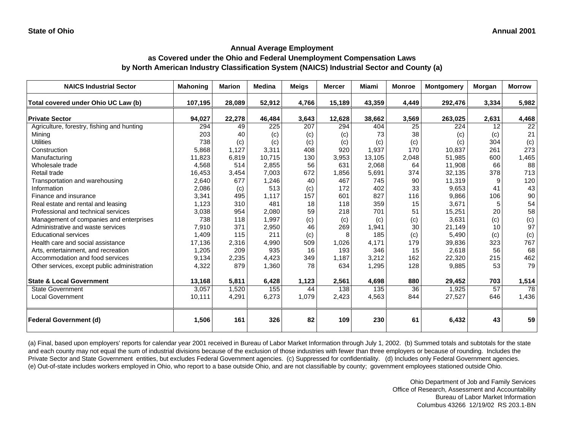### **as Covered under the Ohio and Federal Unemployment Compensation Laws by North American Industry Classification System (NAICS) Industrial Sector and County (a)**

| <b>NAICS Industrial Sector</b>               | <b>Mahoning</b> | <b>Marion</b> | <b>Medina</b> | <b>Meigs</b> | <b>Mercer</b> | <b>Miami</b>     | <b>Monroe</b> | <b>Montgomery</b> | <b>Morgan</b> | <b>Morrow</b>   |
|----------------------------------------------|-----------------|---------------|---------------|--------------|---------------|------------------|---------------|-------------------|---------------|-----------------|
| Total covered under Ohio UC Law (b)          | 107,195         | 28,089        | 52,912        | 4,766        | 15,189        | 43,359           | 4,449         | 292,476           | 3,334         | 5,982           |
| <b>Private Sector</b>                        | 94,027          | 22,278        | 46,484        | 3,643        | 12,628        | 38,662           | 3,569         | 263,025           | 2,631         | 4,468           |
| Agriculture, forestry, fishing and hunting   | 294             | 49            | 225           | 207          | 294           | 404              | 25            | 224               | 12            | $\overline{22}$ |
| Minina                                       | 203             | 40            | (c)           | (c)          | (c)           | 73               | 38            | (c)               | (c)           | 21              |
| <b>Utilities</b>                             | 738             | (c)           | (c)           | (c)          | (c)           | (c)              | (c)           | (c)               | 304           | (c)             |
| Construction                                 | 5,868           | 1,127         | 3,311         | 408          | 920           | 1,937            | 170           | 10,837            | 261           | 273             |
| Manufacturing                                | 11,823          | 6,819         | 10,715        | 130          | 3,953         | 13,105           | 2,048         | 51,985            | 600           | 1,465           |
| Wholesale trade                              | 4,568           | 514           | 2,855         | 56           | 631           | 2,068            | 64            | 11,908            | 66            | 88              |
| Retail trade                                 | 16,453          | 3,454         | 7,003         | 672          | 1,856         | 5,691            | 374           | 32,135            | 378           | 713             |
| Transportation and warehousing               | 2,640           | 677           | 1,246         | 40           | 467           | 745              | 90            | 11,319            | 9             | 120             |
| Information                                  | 2,086           | (c)           | 513           | (c)          | 172           | 402              | 33            | 9,653             | 41            | 43              |
| Finance and insurance                        | 3,341           | 495           | 1.117         | 157          | 601           | 827              | 116           | 9,866             | 106           | 90              |
| Real estate and rental and leasing           | 1,123           | 310           | 481           | 18           | 118           | 359              | 15            | 3,671             | 5             | 54              |
| Professional and technical services          | 3,038           | 954           | 2,080         | 59           | 218           | 701              | 51            | 15,251            | 20            | 58              |
| Management of companies and enterprises      | 738             | 118           | 1,997         | (c)          | (c)           | (c)              | (c)           | 3,631             | (c)           | (c)             |
| Administrative and waste services            | 7,910           | 371           | 2,950         | 46           | 269           | 1,941            | 30            | 21,149            | 10            | 97              |
| <b>Educational services</b>                  | 1,409           | 115           | 211           | (c)          | 8             | 185              | (c)           | 5,490             | (c)           | (c)             |
| Health care and social assistance            | 17,136          | 2,316         | 4,990         | 509          | 1,026         | 4,171            | 179           | 39,836            | 323           | 767             |
| Arts, entertainment, and recreation          | 1,205           | 209           | 935           | 16           | 193           | 346              | 15            | 2,618             | 56            | 68              |
| Accommodation and food services              | 9,134           | 2,235         | 4,423         | 349          | 1,187         | 3,212            | 162           | 22,320            | 215           | 462             |
| Other services, except public administration | 4,322           | 879           | 1,360         | 78           | 634           | 1,295            | 128           | 9,885             | 53            | 79              |
| <b>State &amp; Local Government</b>          | 13,168          | 5,811         | 6,428         | 1,123        | 2,561         | 4,698            | 880           | 29,452            | 703           | 1,514           |
| <b>State Government</b>                      | 3,057           | 1,520         | 155           | 44           | 138           | $\overline{135}$ | 36            | 1,925             | 57            | 78              |
| <b>Local Government</b>                      | 10,111          | 4,291         | 6,273         | 1,079        | 2,423         | 4,563            | 844           | 27,527            | 646           | 1,436           |
| <b>Federal Government (d)</b>                | 1,506           | 161           | 326           | 82           | 109           | 230              | 61            | 6,432             | 43            | 59              |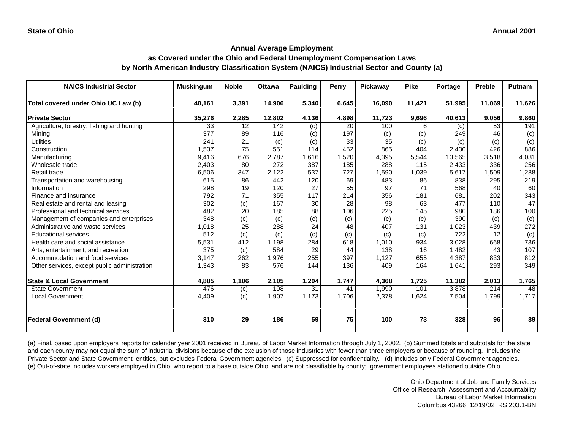| <b>NAICS Industrial Sector</b>               | <b>Muskingum</b> | <b>Noble</b> | <b>Ottawa</b> | Paulding | Perry | Pickaway | <b>Pike</b> | Portage | Preble | <b>Putnam</b> |
|----------------------------------------------|------------------|--------------|---------------|----------|-------|----------|-------------|---------|--------|---------------|
| Total covered under Ohio UC Law (b)          | 40,161           | 3,391        | 14,906        | 5,340    | 6,645 | 16,090   | 11,421      | 51,995  | 11,069 | 11,626        |
| <b>Private Sector</b>                        | 35,276           | 2,285        | 12,802        | 4,136    | 4,898 | 11,723   | 9,696       | 40,613  | 9,056  | 9,860         |
| Agriculture, forestry, fishing and hunting   | 33               | 12           | 142           | (c)      | 20    | 100      | 6           | (c)     | 53     | 191           |
| Mining                                       | 377              | 89           | 116           | (c)      | 197   | (c)      | (c)         | 249     | 46     | (c)           |
| <b>Utilities</b>                             | 241              | 21           | (c)           | (c)      | 33    | 35       | (c)         | (c)     | (c)    | (c)           |
| Construction                                 | 1,537            | 75           | 551           | 114      | 452   | 865      | 404         | 2,430   | 426    | 886           |
| Manufacturing                                | 9,416            | 676          | 2,787         | 1,616    | 1,520 | 4,395    | 5,544       | 13,565  | 3,518  | 4,031         |
| Wholesale trade                              | 2,403            | 80           | 272           | 387      | 185   | 288      | 115         | 2,433   | 336    | 256           |
| Retail trade                                 | 6,506            | 347          | 2,122         | 537      | 727   | 1,590    | 1,039       | 5,617   | 1,509  | 1,288         |
| Transportation and warehousing               | 615              | 86           | 442           | 120      | 69    | 483      | 86          | 838     | 295    | 219           |
| Information                                  | 298              | 19           | 120           | 27       | 55    | 97       | 71          | 568     | 40     | 60            |
| Finance and insurance                        | 792              | 71           | 355           | 117      | 214   | 356      | 181         | 681     | 202    | 343           |
| Real estate and rental and leasing           | 302              | (c)          | 167           | 30       | 28    | 98       | 63          | 477     | 110    | 47            |
| Professional and technical services          | 482              | 20           | 185           | 88       | 106   | 225      | 145         | 980     | 186    | 100           |
| Management of companies and enterprises      | 348              | (c)          | (c)           | (c)      | (c)   | (c)      | (c)         | 390     | (c)    | (c)           |
| Administrative and waste services            | 1,018            | 25           | 288           | 24       | 48    | 407      | 131         | 1,023   | 439    | 272           |
| <b>Educational services</b>                  | 512              | (c)          | (c)           | (c)      | (c)   | (c)      | (c)         | 722     | 12     | (c)           |
| Health care and social assistance            | 5,531            | 412          | 1,198         | 284      | 618   | 1,010    | 934         | 3,028   | 668    | 736           |
| Arts, entertainment, and recreation          | 375              | (c)          | 584           | 29       | 44    | 138      | 16          | 1.482   | 43     | 107           |
| Accommodation and food services              | 3,147            | 262          | 1,976         | 255      | 397   | 1,127    | 655         | 4,387   | 833    | 812           |
| Other services, except public administration | 1,343            | 83           | 576           | 144      | 136   | 409      | 164         | 1,641   | 293    | 349           |
| <b>State &amp; Local Government</b>          | 4,885            | 1,106        | 2,105         | 1,204    | 1,747 | 4,368    | 1,725       | 11,382  | 2,013  | 1,765         |
| <b>State Government</b>                      | 476              | (c)          | 198           | 31       | 41    | 1,990    | 101         | 3,878   | 214    | 48            |
| <b>Local Government</b>                      | 4,409            | (c)          | 1,907         | 1,173    | 1,706 | 2,378    | 1,624       | 7,504   | 1,799  | 1,717         |
| <b>Federal Government (d)</b>                | 310              | 29           | 186           | 59       | 75    | 100      | 73          | 328     | 96     | 89            |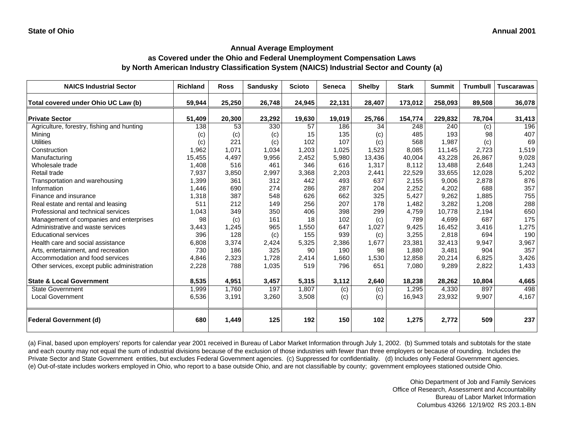# **as Covered under the Ohio and Federal Unemployment Compensation Laws by North American Industry Classification System (NAICS) Industrial Sector and County (a)**

| <b>NAICS Industrial Sector</b>               | <b>Richland</b> | <b>Ross</b> | <b>Sandusky</b> | <b>Scioto</b> | <b>Seneca</b> | <b>Shelby</b> | <b>Stark</b> | <b>Summit</b> | <b>Trumbull</b> | <b>Tuscarawas</b> |
|----------------------------------------------|-----------------|-------------|-----------------|---------------|---------------|---------------|--------------|---------------|-----------------|-------------------|
| Total covered under Ohio UC Law (b)          | 59,944          | 25,250      | 26,748          | 24,945        | 22,131        | 28,407        | 173,012      | 258,093       | 89,508          | 36,078            |
| <b>Private Sector</b>                        | 51,409          | 20,300      | 23,292          | 19,630        | 19,019        | 25,766        | 154,774      | 229,832       | 78,704          | 31,413            |
| Agriculture, forestry, fishing and hunting   | 138             | 53          | 330             | 57            | 186           | 34            | 248          | 240           | (c)             | 196               |
| Mining                                       | (c)             | (c)         | (c)             | 15            | 135           | (c)           | 485          | 193           | 98              | 407               |
| <b>Utilities</b>                             | (c)             | 221         | (c)             | 102           | 107           | (c)           | 568          | 1.987         | (c)             | 69                |
| Construction                                 | 1,962           | 1,071       | 1,034           | 1,203         | 1,025         | 1,523         | 8,085        | 11,145        | 2,723           | 1,519             |
| Manufacturing                                | 15,455          | 4,497       | 9,956           | 2,452         | 5,980         | 13,436        | 40,004       | 43,228        | 26,867          | 9,028             |
| Wholesale trade                              | 1,408           | 516         | 461             | 346           | 616           | 1,317         | 8,112        | 13,488        | 2,648           | 1,243             |
| Retail trade                                 | 7,937           | 3,850       | 2,997           | 3,368         | 2,203         | 2,441         | 22,529       | 33,655        | 12,028          | 5,202             |
| Transportation and warehousing               | 1,399           | 361         | 312             | 442           | 493           | 637           | 2,155        | 9,006         | 2,878           | 876               |
| Information                                  | 1,446           | 690         | 274             | 286           | 287           | 204           | 2,252        | 4,202         | 688             | 357               |
| Finance and insurance                        | 1,318           | 387         | 548             | 626           | 662           | 325           | 5,427        | 9,262         | 1,885           | 755               |
| Real estate and rental and leasing           | 511             | 212         | 149             | 256           | 207           | 178           | 1,482        | 3,282         | 1,208           | 288               |
| Professional and technical services          | 1,043           | 349         | 350             | 406           | 398           | 299           | 4,759        | 10.778        | 2,194           | 650               |
| Management of companies and enterprises      | 98              | (c)         | 161             | 18            | 102           | (c)           | 789          | 4.699         | 687             | 175               |
| Administrative and waste services            | 3,443           | 1,245       | 965             | 1,550         | 647           | 1,027         | 9,425        | 16.452        | 3,416           | 1,275             |
| <b>Educational services</b>                  | 396             | 128         | (c)             | 155           | 939           | (c)           | 3,255        | 2.818         | 694             | 190               |
| Health care and social assistance            | 6,808           | 3,374       | 2,424           | 5,325         | 2,386         | 1,677         | 23,381       | 32,413        | 9,947           | 3,967             |
| Arts, entertainment, and recreation          | 730             | 186         | 325             | 90            | 190           | 98            | 1,880        | 3,481         | 904             | 357               |
| Accommodation and food services              | 4,846           | 2,323       | 1,728           | 2,414         | 1,660         | 1,530         | 12,858       | 20,214        | 6,825           | 3,426             |
| Other services, except public administration | 2,228           | 788         | 1,035           | 519           | 796           | 651           | 7,080        | 9,289         | 2,822           | 1,433             |
| <b>State &amp; Local Government</b>          | 8,535           | 4,951       | 3,457           | 5,315         | 3,112         | 2,640         | 18,238       | 28,262        | 10,804          | 4,665             |
| <b>State Government</b>                      | 1,999           | 1,760       | 197             | 1,807         | (c)           | (c)           | 1,295        | 4,330         | 897             | 498               |
| <b>Local Government</b>                      | 6,536           | 3,191       | 3,260           | 3,508         | (c)           | (c)           | 16,943       | 23,932        | 9,907           | 4,167             |
| <b>Federal Government (d)</b>                | 680             | 1,449       | 125             | 192           | 150           | 102           | 1,275        | 2,772         | 509             | 237               |